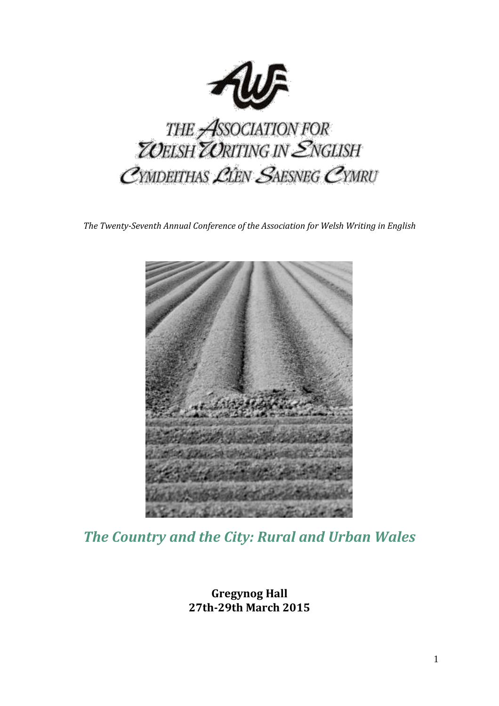

*The Twenty-Seventh Annual Conference of the Association for Welsh Writing in English*



*The Country and the City: Rural and Urban Wales*

**Gregynog Hall 27th-29th March 2015**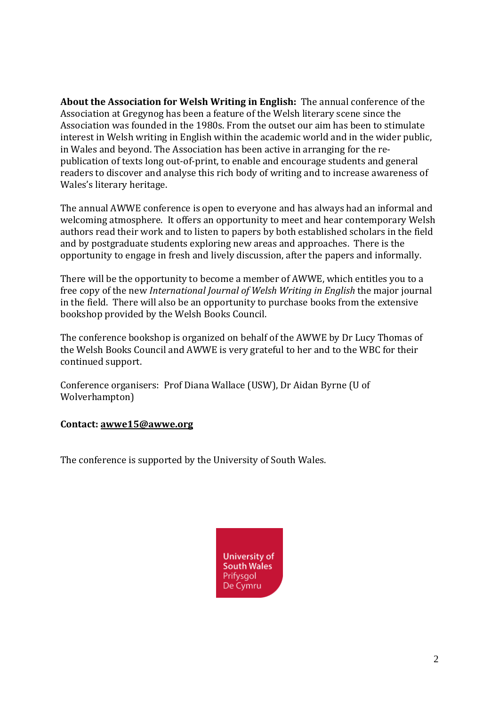**About the Association for Welsh Writing in English:** The annual conference of the Association at Gregynog has been a feature of the Welsh literary scene since the Association was founded in the 1980s. From the outset our aim has been to stimulate interest in Welsh writing in English within the academic world and in the wider public, in Wales and beyond. The Association has been active in arranging for the republication of texts long out-of-print, to enable and encourage students and general readers to discover and analyse this rich body of writing and to increase awareness of Wales's literary heritage.

The annual AWWE conference is open to everyone and has always had an informal and welcoming atmosphere. It offers an opportunity to meet and hear contemporary Welsh authors read their work and to listen to papers by both established scholars in the field and by postgraduate students exploring new areas and approaches. There is the opportunity to engage in fresh and lively discussion, after the papers and informally.

There will be the opportunity to become a member of AWWE, which entitles you to a free copy of the new *International Journal of Welsh Writing in English* the major journal in the field. There will also be an opportunity to purchase books from the extensive bookshop provided by the Welsh Books Council.

The conference bookshop is organized on behalf of the AWWE by Dr Lucy Thomas of the Welsh Books Council and AWWE is very grateful to her and to the WBC for their continued support.

Conference organisers: Prof Diana Wallace (USW), Dr Aidan Byrne (U of Wolverhampton)

## **Contact: [awwe15@awwe.org](mailto:awwe15@awwe.org)**

The conference is supported by the University of South Wales.

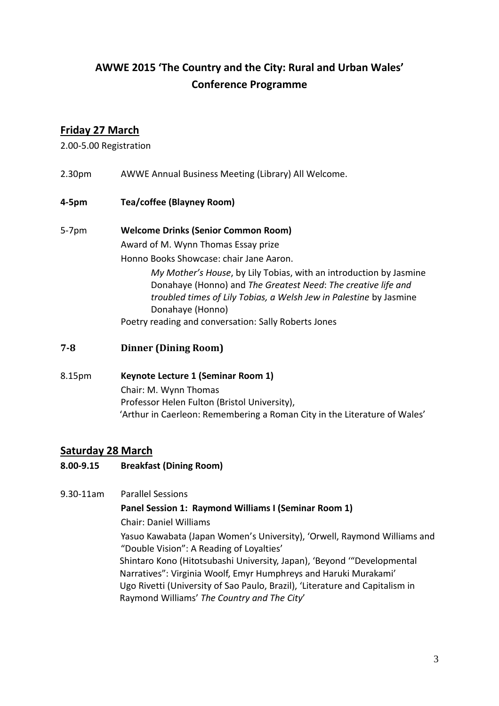# **AWWE 2015 'The Country and the City: Rural and Urban Wales' Conference Programme**

# **Friday 27 March**

2.00-5.00 Registration

- 2.30pm AWWE Annual Business Meeting (Library) All Welcome.
- **4-5pm Tea/coffee (Blayney Room)**

## 5-7pm **Welcome Drinks (Senior Common Room)** Award of M. Wynn Thomas Essay prize

Honno Books Showcase: chair Jane Aaron.

*My Mother's House*, by Lily Tobias, with an introduction by Jasmine Donahaye (Honno) and *The Greatest Need*: *The creative life and troubled times of Lily Tobias, a Welsh Jew in Palestine* by Jasmine Donahaye (Honno)

Poetry reading and conversation: Sally Roberts Jones

- **7-8 Dinner (Dining Room)**
- 8.15pm **Keynote Lecture 1 (Seminar Room 1)** Chair: M. Wynn Thomas Professor Helen Fulton (Bristol University), 'Arthur in Caerleon: Remembering a Roman City in the Literature of Wales'

# **Saturday 28 March**

- **8.00-9.15 Breakfast (Dining Room)**
- 9.30-11am Parallel Sessions

## **Panel Session 1: Raymond Williams I (Seminar Room 1)**

Chair: Daniel Williams

Yasuo Kawabata (Japan Women's University), 'Orwell, Raymond Williams and "Double Vision": A Reading of Loyalties'

Shintaro Kono (Hitotsubashi University, Japan), 'Beyond '"Developmental Narratives": Virginia Woolf, Emyr Humphreys and Haruki Murakami' Ugo Rivetti (University of Sao Paulo, Brazil), 'Literature and Capitalism in Raymond Williams' *The Country and The City*'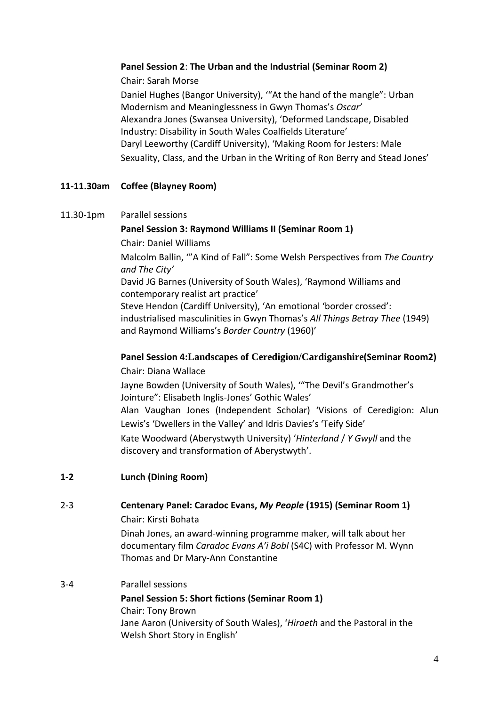## **Panel Session 2**: **The Urban and the Industrial (Seminar Room 2)**

Chair: Sarah Morse

Daniel Hughes (Bangor University), '"At the hand of the mangle": Urban Modernism and Meaninglessness in Gwyn Thomas's *Oscar'* Alexandra Jones (Swansea University), 'Deformed Landscape, Disabled Industry: Disability in South Wales Coalfields Literature' Daryl Leeworthy (Cardiff University), 'Making Room for Jesters: Male Sexuality, Class, and the Urban in the Writing of Ron Berry and Stead Jones'

# **11-11.30am Coffee (Blayney Room)**

11.30-1pm Parallel sessions

**Panel Session 3: Raymond Williams II (Seminar Room 1)** Chair: Daniel Williams Malcolm Ballin, '"A Kind of Fall": Some Welsh Perspectives from *The Country and The City'* David JG Barnes (University of South Wales), 'Raymond Williams and contemporary realist art practice' Steve Hendon (Cardiff University), 'An emotional 'border crossed': industrialised masculinities in Gwyn Thomas's *All Things Betray Thee* (1949) and Raymond Williams's *Border Country* (1960)'

# **Panel Session 4:Landscapes of Ceredigion/Cardiganshire(Seminar Room2)**

Chair: Diana Wallace Jayne Bowden (University of South Wales), '"The Devil's Grandmother's Jointure": Elisabeth Inglis-Jones' Gothic Wales' Alan Vaughan Jones (Independent Scholar) 'Visions of Ceredigion: Alun Lewis's 'Dwellers in the Valley' and Idris Davies's 'Teify Side' Kate Woodward (Aberystwyth University) '*Hinterland* / *Y Gwyll* and the discovery and transformation of Aberystwyth'.

**1-2 Lunch (Dining Room)**

# 2-3 **Centenary Panel: Caradoc Evans,** *My People* **(1915) (Seminar Room 1)**

Chair: Kirsti Bohata

Dinah Jones, an award-winning programme maker, will talk about her documentary film *Caradoc Evans A'i Bobl* (S4C) with Professor M. Wynn Thomas and Dr Mary-Ann Constantine

## 3-4 Parallel sessions

**Panel Session 5: Short fictions (Seminar Room 1)** Chair: Tony Brown Jane Aaron (University of South Wales), '*Hiraeth* and the Pastoral in the Welsh Short Story in English'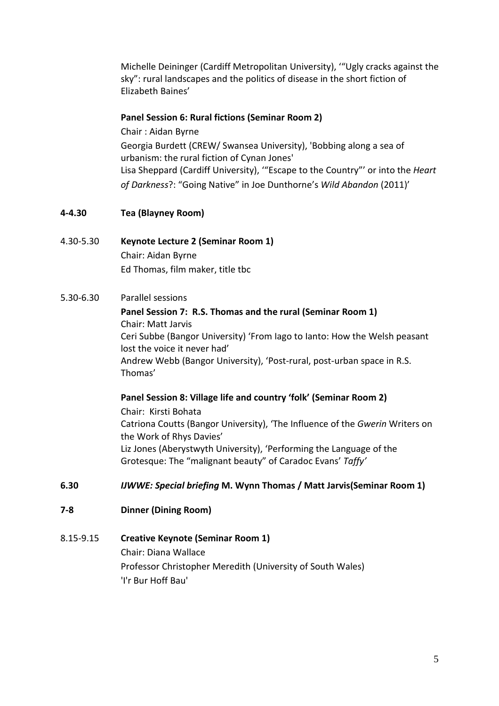Michelle Deininger (Cardiff Metropolitan University), '"Ugly cracks against the sky": rural landscapes and the politics of disease in the short fiction of Elizabeth Baines'

#### **Panel Session 6: Rural fictions (Seminar Room 2)**

Chair : Aidan Byrne Georgia Burdett (CREW/ Swansea University), 'Bobbing along a sea of urbanism: the rural fiction of Cynan Jones' Lisa Sheppard (Cardiff University), '"Escape to the Country"' or into the *Heart of Darkness*?: "Going Native" in Joe Dunthorne's *Wild Abandon* (2011)'

## **4-4.30 Tea (Blayney Room)**

- 4.30-5.30 **Keynote Lecture 2 (Seminar Room 1)** Chair: Aidan Byrne Ed Thomas, film maker, title tbc
- 5.30-6.30 Parallel sessions

**Panel Session 7: R.S. Thomas and the rural (Seminar Room 1)** Chair: Matt Jarvis Ceri Subbe (Bangor University) 'From Iago to Ianto: How the Welsh peasant lost the voice it never had' Andrew Webb (Bangor University), 'Post-rural, post-urban space in R.S. Thomas'

**Panel Session 8: Village life and country 'folk' (Seminar Room 2)** Chair: Kirsti Bohata Catriona Coutts (Bangor University), 'The Influence of the *Gwerin* Writers on the Work of Rhys Davies' Liz Jones (Aberystwyth University), 'Performing the Language of the Grotesque: The "malignant beauty" of Caradoc Evans' *Taffy'*

- **6.30** *IJWWE: Special briefing* **M. Wynn Thomas / Matt Jarvis(Seminar Room 1)**
- **7-8 Dinner (Dining Room)**
- 8.15-9.15 **Creative Keynote (Seminar Room 1)**

Chair: Diana Wallace Professor Christopher Meredith (University of South Wales) 'I'r Bur Hoff Bau'